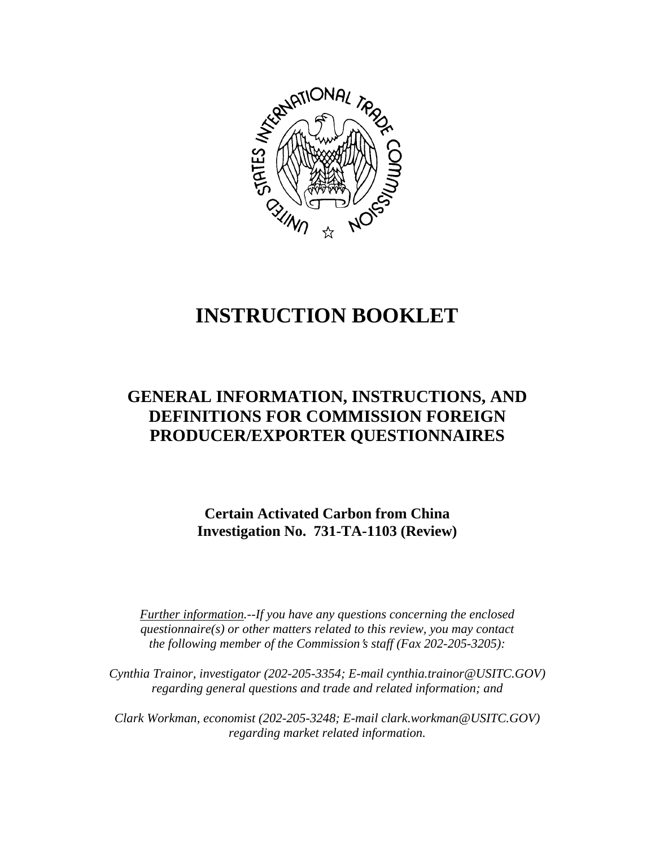

# **INSTRUCTION BOOKLET**

## **GENERAL INFORMATION, INSTRUCTIONS, AND DEFINITIONS FOR COMMISSION FOREIGN PRODUCER/EXPORTER QUESTIONNAIRES**

**Certain Activated Carbon from China Investigation No. 731-TA-1103 (Review)**

*Further information.--If you have any questions concerning the enclosed questionnaire(s) or other matters related to this review, you may contact the following member of the Commission*=*s staff (Fax 202-205-3205):* 

*Cynthia Trainor, investigator (202-205-3354; E-mail cynthia.trainor@USITC.GOV) regarding general questions and trade and related information; and* 

 *Clark Workman, economist (202-205-3248; E-mail clark.workman@USITC.GOV) regarding market related information.*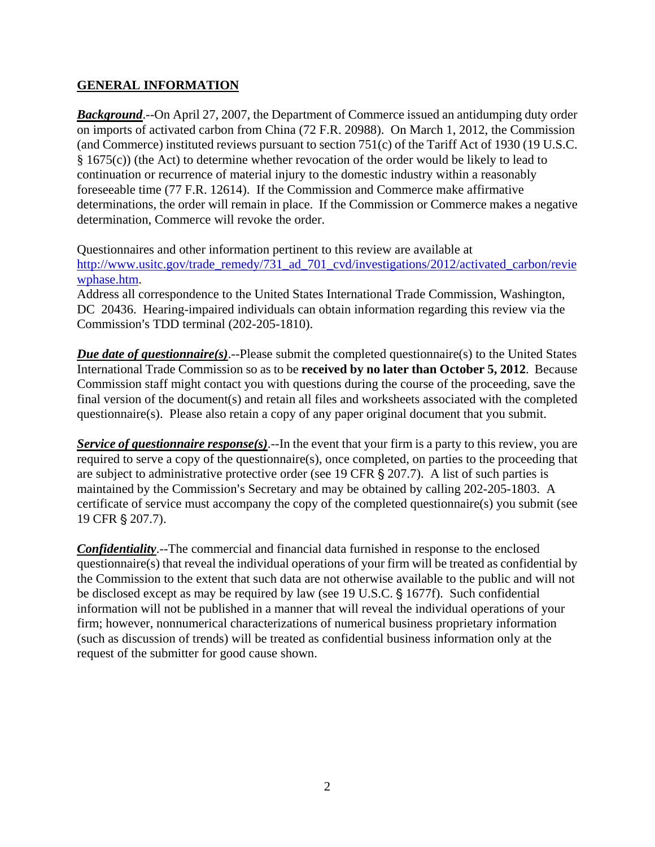#### **GENERAL INFORMATION**

*Background*.--On April 27, 2007, the Department of Commerce issued an antidumping duty order on imports of activated carbon from China (72 F.R. 20988). On March 1, 2012, the Commission (and Commerce) instituted reviews pursuant to section 751(c) of the Tariff Act of 1930 (19 U.S.C. § 1675(c)) (the Act) to determine whether revocation of the order would be likely to lead to continuation or recurrence of material injury to the domestic industry within a reasonably foreseeable time (77 F.R. 12614). If the Commission and Commerce make affirmative determinations, the order will remain in place. If the Commission or Commerce makes a negative determination, Commerce will revoke the order.

Questionnaires and other information pertinent to this review are available at http://www.usitc.gov/trade\_remedy/731\_ad\_701\_cvd/investigations/2012/activated\_carbon/revie wphase.htm.

Address all correspondence to the United States International Trade Commission, Washington, DC 20436. Hearing-impaired individuals can obtain information regarding this review via the Commission's TDD terminal (202-205-1810).

*Due date of questionnaire(s)*.--Please submit the completed questionnaire(s) to the United States International Trade Commission so as to be **received by no later than October 5, 2012**. Because Commission staff might contact you with questions during the course of the proceeding, save the final version of the document(s) and retain all files and worksheets associated with the completed questionnaire(s). Please also retain a copy of any paper original document that you submit.

*Service of questionnaire response(s)*.--In the event that your firm is a party to this review, you are required to serve a copy of the questionnaire(s), once completed, on parties to the proceeding that are subject to administrative protective order (see 19 CFR  $\S 207.7$ ). A list of such parties is maintained by the Commission's Secretary and may be obtained by calling 202-205-1803. A certificate of service must accompany the copy of the completed questionnaire(s) you submit (see 19 CFR § 207.7).

*Confidentiality*.--The commercial and financial data furnished in response to the enclosed questionnaire(s) that reveal the individual operations of your firm will be treated as confidential by the Commission to the extent that such data are not otherwise available to the public and will not be disclosed except as may be required by law (see 19 U.S.C. § 1677f). Such confidential information will not be published in a manner that will reveal the individual operations of your firm; however, nonnumerical characterizations of numerical business proprietary information (such as discussion of trends) will be treated as confidential business information only at the request of the submitter for good cause shown.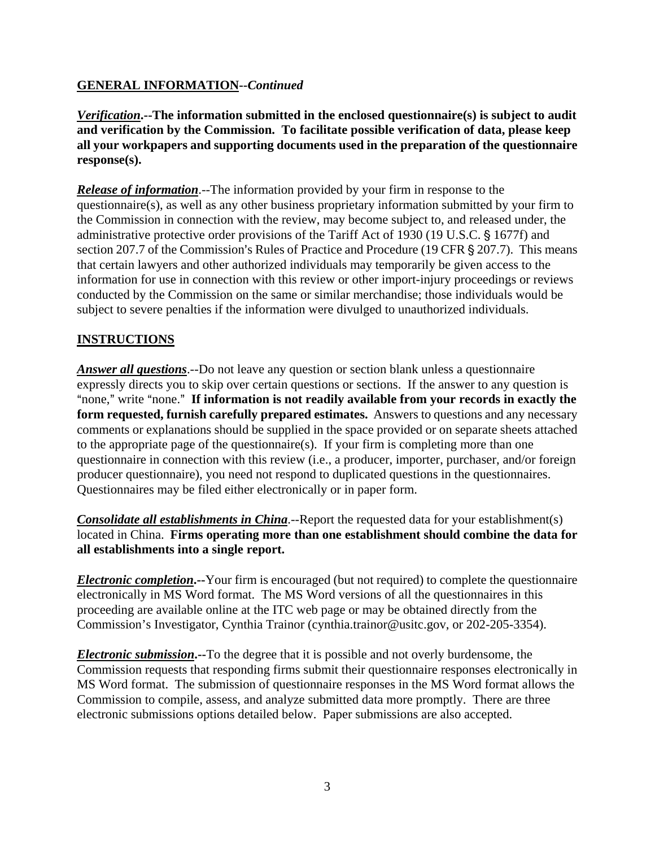#### **GENERAL INFORMATION--***Continued*

*Verification***.--The information submitted in the enclosed questionnaire(s) is subject to audit and verification by the Commission. To facilitate possible verification of data, please keep all your workpapers and supporting documents used in the preparation of the questionnaire response(s).**

*Release of information*.--The information provided by your firm in response to the questionnaire(s), as well as any other business proprietary information submitted by your firm to the Commission in connection with the review, may become subject to, and released under, the administrative protective order provisions of the Tariff Act of 1930 (19 U.S.C. § 1677f) and section 207.7 of the Commission's Rules of Practice and Procedure (19 CFR § 207.7). This means that certain lawyers and other authorized individuals may temporarily be given access to the information for use in connection with this review or other import-injury proceedings or reviews conducted by the Commission on the same or similar merchandise; those individuals would be subject to severe penalties if the information were divulged to unauthorized individuals.

### **INSTRUCTIONS**

*Answer all questions*.--Do not leave any question or section blank unless a questionnaire expressly directs you to skip over certain questions or sections. If the answer to any question is "none," write "none." If information is not readily available from your records in exactly the **form requested, furnish carefully prepared estimates.** Answers to questions and any necessary comments or explanations should be supplied in the space provided or on separate sheets attached to the appropriate page of the questionnaire(s). If your firm is completing more than one questionnaire in connection with this review (i.e., a producer, importer, purchaser, and/or foreign producer questionnaire), you need not respond to duplicated questions in the questionnaires. Questionnaires may be filed either electronically or in paper form.

*Consolidate all establishments in China*.--Report the requested data for your establishment(s) located in China. **Firms operating more than one establishment should combine the data for all establishments into a single report.** 

*Electronic completion***.--**Your firm is encouraged (but not required) to complete the questionnaire electronically in MS Word format. The MS Word versions of all the questionnaires in this proceeding are available online at the ITC web page or may be obtained directly from the Commission's Investigator, Cynthia Trainor (cynthia.trainor@usitc.gov, or 202-205-3354).

*Electronic submission***.--**To the degree that it is possible and not overly burdensome, the Commission requests that responding firms submit their questionnaire responses electronically in MS Word format. The submission of questionnaire responses in the MS Word format allows the Commission to compile, assess, and analyze submitted data more promptly. There are three electronic submissions options detailed below. Paper submissions are also accepted.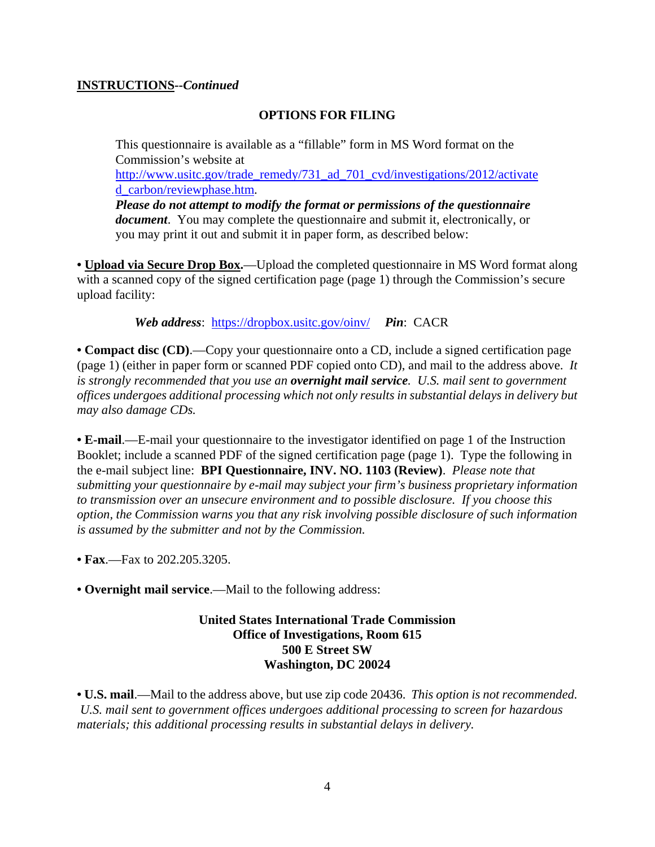#### **INSTRUCTIONS--***Continued*

#### **OPTIONS FOR FILING**

This questionnaire is available as a "fillable" form in MS Word format on the Commission's website at

http://www.usitc.gov/trade\_remedy/731\_ad\_701\_cvd/investigations/2012/activate d\_carbon/reviewphase.htm.

*Please do not attempt to modify the format or permissions of the questionnaire document*. You may complete the questionnaire and submit it, electronically, or you may print it out and submit it in paper form, as described below:

• **Upload via Secure Drop Box.**—Upload the completed questionnaire in MS Word format along with a scanned copy of the signed certification page (page 1) through the Commission's secure upload facility:

*Web address*: https://dropbox.usitc.gov/oinv/ *Pin*: CACR

• **Compact disc (CD).—Copy your questionnaire onto a CD, include a signed certification page** (page 1) (either in paper form or scanned PDF copied onto CD), and mail to the address above. *It is strongly recommended that you use an overnight mail service. U.S. mail sent to government offices undergoes additional processing which not only results in substantial delays in delivery but may also damage CDs.* 

**• E-mail**.—E-mail your questionnaire to the investigator identified on page 1 of the Instruction Booklet; include a scanned PDF of the signed certification page (page 1). Type the following in the e-mail subject line: **BPI Questionnaire, INV. NO. 1103 (Review)**. *Please note that submitting your questionnaire by e-mail may subject your firm's business proprietary information to transmission over an unsecure environment and to possible disclosure. If you choose this option, the Commission warns you that any risk involving possible disclosure of such information is assumed by the submitter and not by the Commission.* 

**• Fax**.—Fax to 202.205.3205.

**• Overnight mail service**.—Mail to the following address:

**United States International Trade Commission Office of Investigations, Room 615 500 E Street SW Washington, DC 20024**

**• U.S. mail**.—Mail to the address above, but use zip code 20436. *This option is not recommended. U.S. mail sent to government offices undergoes additional processing to screen for hazardous materials; this additional processing results in substantial delays in delivery.*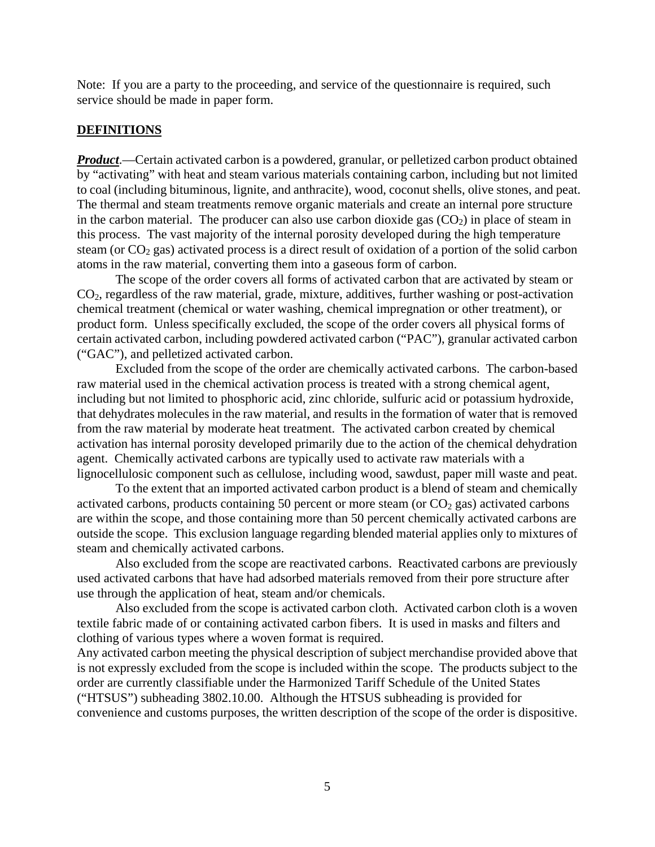Note: If you are a party to the proceeding, and service of the questionnaire is required, such service should be made in paper form.

#### **DEFINITIONS**

*Product*.—Certain activated carbon is a powdered, granular, or pelletized carbon product obtained by "activating" with heat and steam various materials containing carbon, including but not limited to coal (including bituminous, lignite, and anthracite), wood, coconut shells, olive stones, and peat. The thermal and steam treatments remove organic materials and create an internal pore structure in the carbon material. The producer can also use carbon dioxide gas  $(CO<sub>2</sub>)$  in place of steam in this process. The vast majority of the internal porosity developed during the high temperature steam (or CO<sub>2</sub> gas) activated process is a direct result of oxidation of a portion of the solid carbon atoms in the raw material, converting them into a gaseous form of carbon.

 The scope of the order covers all forms of activated carbon that are activated by steam or CO2, regardless of the raw material, grade, mixture, additives, further washing or post-activation chemical treatment (chemical or water washing, chemical impregnation or other treatment), or product form. Unless specifically excluded, the scope of the order covers all physical forms of certain activated carbon, including powdered activated carbon ("PAC"), granular activated carbon ("GAC"), and pelletized activated carbon.

 Excluded from the scope of the order are chemically activated carbons. The carbon-based raw material used in the chemical activation process is treated with a strong chemical agent, including but not limited to phosphoric acid, zinc chloride, sulfuric acid or potassium hydroxide, that dehydrates molecules in the raw material, and results in the formation of water that is removed from the raw material by moderate heat treatment. The activated carbon created by chemical activation has internal porosity developed primarily due to the action of the chemical dehydration agent. Chemically activated carbons are typically used to activate raw materials with a lignocellulosic component such as cellulose, including wood, sawdust, paper mill waste and peat.

 To the extent that an imported activated carbon product is a blend of steam and chemically activated carbons, products containing 50 percent or more steam (or  $CO<sub>2</sub>$  gas) activated carbons are within the scope, and those containing more than 50 percent chemically activated carbons are outside the scope. This exclusion language regarding blended material applies only to mixtures of steam and chemically activated carbons.

 Also excluded from the scope are reactivated carbons. Reactivated carbons are previously used activated carbons that have had adsorbed materials removed from their pore structure after use through the application of heat, steam and/or chemicals.

 Also excluded from the scope is activated carbon cloth. Activated carbon cloth is a woven textile fabric made of or containing activated carbon fibers. It is used in masks and filters and clothing of various types where a woven format is required.

Any activated carbon meeting the physical description of subject merchandise provided above that is not expressly excluded from the scope is included within the scope. The products subject to the order are currently classifiable under the Harmonized Tariff Schedule of the United States ("HTSUS") subheading 3802.10.00. Although the HTSUS subheading is provided for convenience and customs purposes, the written description of the scope of the order is dispositive.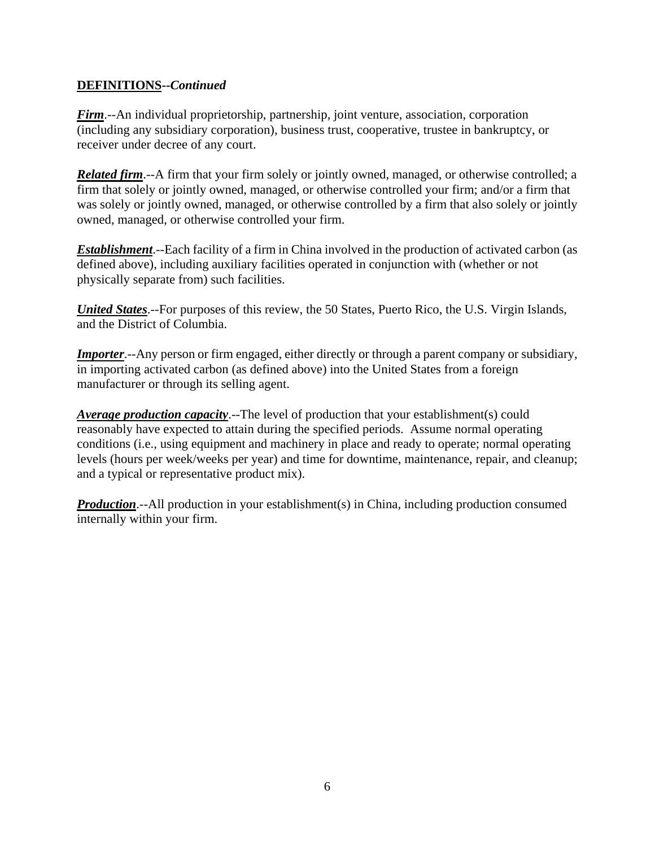#### **DEFINITIONS--***Continued*

*Firm*.--An individual proprietorship, partnership, joint venture, association, corporation (including any subsidiary corporation), business trust, cooperative, trustee in bankruptcy, or receiver under decree of any court.

*Related firm*.--A firm that your firm solely or jointly owned, managed, or otherwise controlled; a firm that solely or jointly owned, managed, or otherwise controlled your firm; and/or a firm that was solely or jointly owned, managed, or otherwise controlled by a firm that also solely or jointly owned, managed, or otherwise controlled your firm.

*Establishment*.--Each facility of a firm in China involved in the production of activated carbon (as defined above), including auxiliary facilities operated in conjunction with (whether or not physically separate from) such facilities.

*United States*.--For purposes of this review, the 50 States, Puerto Rico, the U.S. Virgin Islands, and the District of Columbia.

*Importer.*--Any person or firm engaged, either directly or through a parent company or subsidiary, in importing activated carbon (as defined above) into the United States from a foreign manufacturer or through its selling agent.

*Average production capacity*.--The level of production that your establishment(s) could reasonably have expected to attain during the specified periods. Assume normal operating conditions (i.e., using equipment and machinery in place and ready to operate; normal operating levels (hours per week/weeks per year) and time for downtime, maintenance, repair, and cleanup; and a typical or representative product mix).

*Production*.--All production in your establishment(s) in China, including production consumed internally within your firm.